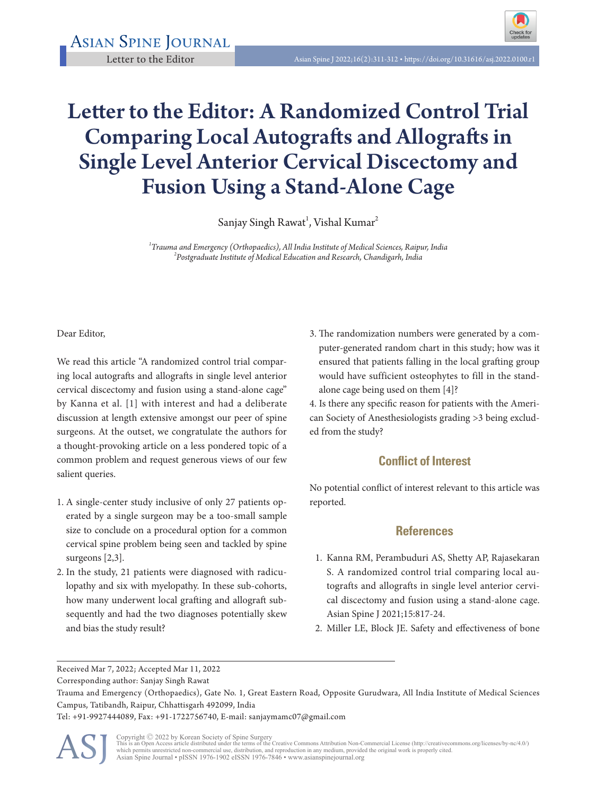Asian Spine Journal



## Letter to the Editor: A Randomized Control Trial Comparing Local Autografts and Allografts in Single Level Anterior Cervical Discectomy and Fusion Using a Stand-Alone Cage

Sanjay Singh Rawat<sup>1</sup>, Vishal Kumar<sup>2</sup>

*1 Trauma and Emergency (Orthopaedics), All India Institute of Medical Sciences, Raipur, India <sup>2</sup> Postgraduate Institute of Medical Education and Research, Chandigarh, India*

Dear Editor,

We read this article "A randomized control trial comparing local autografts and allografts in single level anterior cervical discectomy and fusion using a stand-alone cage" by Kanna et al. [1] with interest and had a deliberate discussion at length extensive amongst our peer of spine surgeons. At the outset, we congratulate the authors for a thought-provoking article on a less pondered topic of a common problem and request generous views of our few salient queries.

- 1. A single-center study inclusive of only 27 patients operated by a single surgeon may be a too-small sample size to conclude on a procedural option for a common cervical spine problem being seen and tackled by spine surgeons [2,3].
- 2. In the study, 21 patients were diagnosed with radiculopathy and six with myelopathy. In these sub-cohorts, how many underwent local grafting and allograft subsequently and had the two diagnoses potentially skew and bias the study result?

3. The randomization numbers were generated by a computer-generated random chart in this study; how was it ensured that patients falling in the local grafting group would have sufficient osteophytes to fill in the standalone cage being used on them [4]?

4. Is there any specific reason for patients with the American Society of Anesthesiologists grading >3 being excluded from the study?

## **Conflict of Interest**

No potential conflict of interest relevant to this article was reported.

## **References**

- 1. Kanna RM, Perambuduri AS, Shetty AP, Rajasekaran S. A randomized control trial comparing local autografts and allografts in single level anterior cervical discectomy and fusion using a stand-alone cage. Asian Spine J 2021;15:817-24.
- 2. Miller LE, Block JE. Safety and effectiveness of bone

Tel: +91-9927444089, Fax: +91-1722756740, E-mail: sanjaymamc07@gmail.com

ASJ

Received Mar 7, 2022; Accepted Mar 11, 2022

Corresponding author: Sanjay Singh Rawat

Trauma and Emergency (Orthopaedics), Gate No. 1, Great Eastern Road, Opposite Gurudwara, All India Institute of Medical Sciences Campus, Tatibandh, Raipur, Chhattisgarh 492099, India